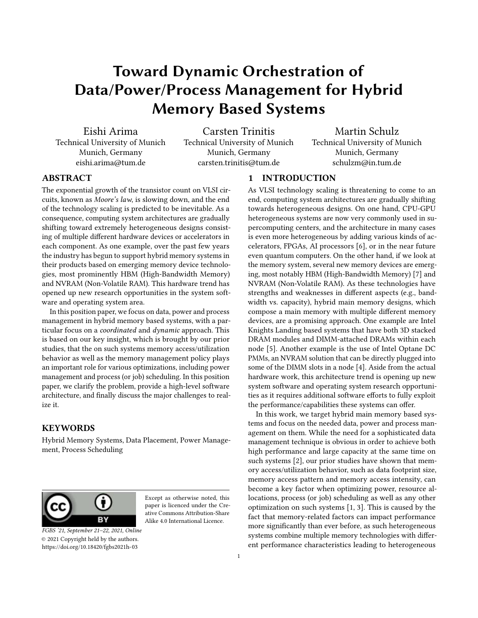# Toward Dynamic Orchestration of Data/Power/Process Management for Hybrid Memory Based Systems

Eishi Arima Technical University of Munich Munich, Germany

eishi.arima@tum.de

Carsten Trinitis Technical University of Munich Munich, Germany carsten.trinitis@tum.de

Martin Schulz Technical University of Munich Munich, Germany schulzm@in.tum.de

# **ABSTRACT**

The exponential growth of the transistor count on VLSI circuits, known as Moore's law, is slowing down, and the end of the technology scaling is predicted to be inevitable. As a consequence, computing system architectures are gradually shifting toward extremely heterogeneous designs consisting of multiple different hardware devices or accelerators in each component. As one example, over the past few years the industry has begun to support hybrid memory systems in their products based on emerging memory device technologies, most prominently HBM (High-Bandwidth Memory) and NVRAM (Non-Volatile RAM). This hardware trend has opened up new research opportunities in the system software and operating system area.

In this position paper, we focus on data, power and process management in hybrid memory based systems, with a particular focus on a coordinated and dynamic approach. This is based on our key insight, which is brought by our prior studies, that the on such systems memory access/utilization behavior as well as the memory management policy plays an important role for various optimizations, including power management and process (or job) scheduling. In this position paper, we clarify the problem, provide a high-level software architecture, and finally discuss the major challenges to realize it.

#### KEYWORDS

Hybrid Memory Systems, Data Placement, Power Management, Process Scheduling



Except as otherwise noted, this paper is licenced under the Creative Commons Attribution-Share Alike 4.0 International Licence.

FGBS '21, September 21–22, 2021, Online © 2021 Copyright held by the authors. <https://doi.org/10.18420/fgbs2021h-03>

# 1 INTRODUCTION

As VLSI technology scaling is threatening to come to an end, computing system architectures are gradually shifting towards heterogeneous designs. On one hand, CPU-GPU heterogeneous systems are now very commonly used in supercomputing centers, and the architecture in many cases is even more heterogeneous by adding various kinds of accelerators, FPGAs, AI processors [\[6\]](#page-2-0), or in the near future even quantum computers. On the other hand, if we look at the memory system, several new memory devices are emerging, most notably HBM (High-Bandwidth Memory) [\[7\]](#page-2-1) and NVRAM (Non-Volatile RAM). As these technologies have strengths and weaknesses in different aspects (e.g., bandwidth vs. capacity), hybrid main memory designs, which compose a main memory with multiple different memory devices, are a promising approach. One example are Intel Knights Landing based systems that have both 3D stacked DRAM modules and DIMM-attached DRAMs within each node [\[5\]](#page-2-2). Another example is the use of Intel Optane DC PMMs, an NVRAM solution that can be directly plugged into some of the DIMM slots in a node [\[4\]](#page-2-3). Aside from the actual hardware work, this architecture trend is opening up new system software and operating system research opportunities as it requires additional software efforts to fully exploit the performance/capabilities these systems can offer.

In this work, we target hybrid main memory based systems and focus on the needed data, power and process management on them. While the need for a sophisticated data management technique is obvious in order to achieve both high performance and large capacity at the same time on such systems [\[2\]](#page-2-4), our prior studies have shown that memory access/utilization behavior, such as data footprint size, memory access pattern and memory access intensity, can become a key factor when optimizing power, resource allocations, process (or job) scheduling as well as any other optimization on such systems [\[1,](#page-2-5) [3\]](#page-2-6). This is caused by the fact that memory-related factors can impact performance more significantly than ever before, as such heterogeneous systems combine multiple memory technologies with different performance characteristics leading to heterogeneous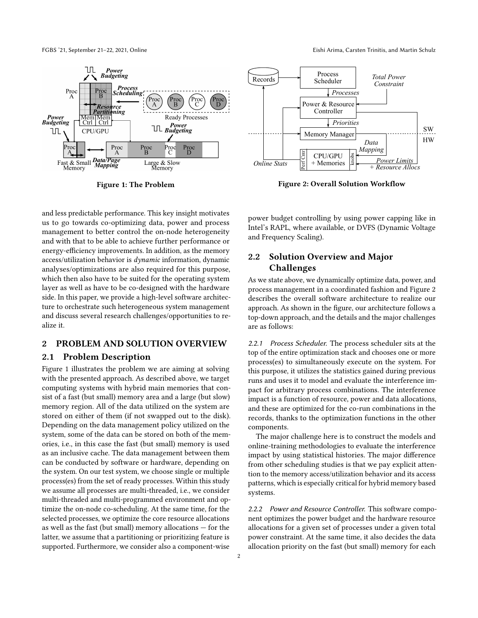<span id="page-1-0"></span>

Figure 1: The Problem

FGBS '21, September 21–22, 2021, Online Eishi Arima, Carsten Trinitis, and Martin Schulz

<span id="page-1-1"></span>

Figure 2: Overall Solution Workflow

and less predictable performance. This key insight motivates us to go towards co-optimizing data, power and process management to better control the on-node heterogeneity and with that to be able to achieve further performance or energy-efficiency improvements. In addition, as the memory access/utilization behavior is dynamic information, dynamic analyses/optimizations are also required for this purpose, which then also have to be suited for the operating system layer as well as have to be co-designed with the hardware side. In this paper, we provide a high-level software architecture to orchestrate such heterogeneous system management and discuss several research challenges/opportunities to realize it.

## 2 PROBLEM AND SOLUTION OVERVIEW

### 2.1 Problem Description

Figure [1](#page-1-0) illustrates the problem we are aiming at solving with the presented approach. As described above, we target computing systems with hybrid main memories that consist of a fast (but small) memory area and a large (but slow) memory region. All of the data utilized on the system are stored on either of them (if not swapped out to the disk). Depending on the data management policy utilized on the system, some of the data can be stored on both of the memories, i.e., in this case the fast (but small) memory is used as an inclusive cache. The data management between them can be conducted by software or hardware, depending on the system. On our test system, we choose single or multiple process(es) from the set of ready processes. Within this study we assume all processes are multi-threaded, i.e., we consider multi-threaded and multi-programmed environment and optimize the on-node co-scheduling. At the same time, for the selected processes, we optimize the core resource allocations as well as the fast (but small) memory allocations — for the latter, we assume that a partitioning or prioritizing feature is supported. Furthermore, we consider also a component-wise

power budget controlling by using power capping like in Intel's RAPL, where available, or DVFS (Dynamic Voltage and Frequency Scaling).

# 2.2 Solution Overview and Major Challenges

As we state above, we dynamically optimize data, power, and process management in a coordinated fashion and Figure [2](#page-1-1) describes the overall software architecture to realize our approach. As shown in the figure, our architecture follows a top-down approach, and the details and the major challenges are as follows:

2.2.1 Process Scheduler. The process scheduler sits at the top of the entire optimization stack and chooses one or more process(es) to simultaneously execute on the system. For this purpose, it utilizes the statistics gained during previous runs and uses it to model and evaluate the interference impact for arbitrary process combinations. The interference impact is a function of resource, power and data allocations, and these are optimized for the co-run combinations in the records, thanks to the optimization functions in the other components.

The major challenge here is to construct the models and online-training methodologies to evaluate the interference impact by using statistical histories. The major difference from other scheduling studies is that we pay explicit attention to the memory access/utilization behavior and its access patterns, which is especially critical for hybrid memory based systems.

2.2.2 Power and Resource Controller. This software component optimizes the power budget and the hardware resource allocations for a given set of processes under a given total power constraint. At the same time, it also decides the data allocation priority on the fast (but small) memory for each